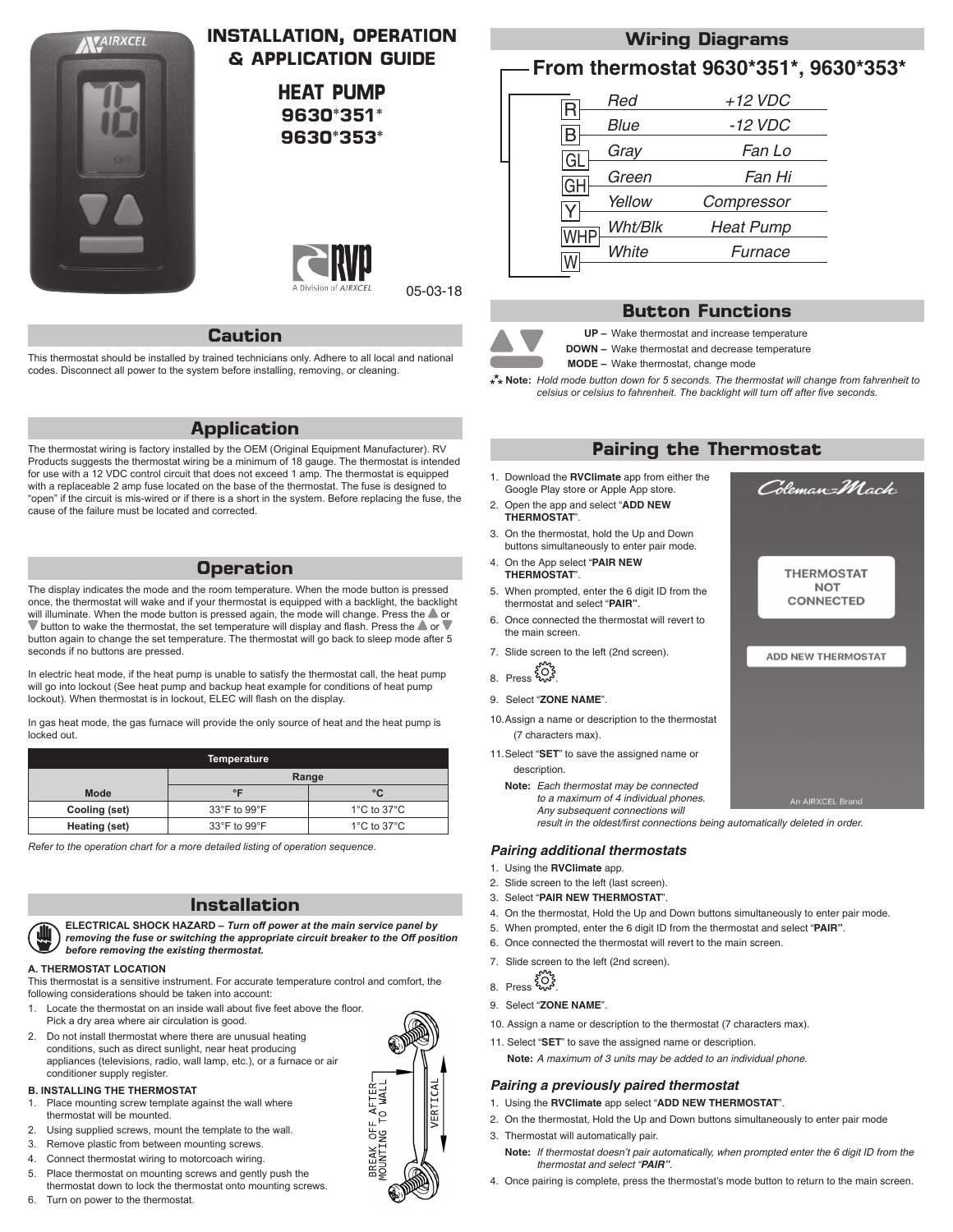

# **INSTALLATION, OPERATION & APPLICATION GUIDE**

**HEAT PUMP 9630\*351\* 9630\*353\***



05-03-18

### **Caution**

This thermostat should be installed by trained technicians only. Adhere to all local and national codes. Disconnect all power to the system before installing, removing, or cleaning.

## **Application**

The thermostat wiring is factory installed by the OEM (Original Equipment Manufacturer). RV Products suggests the thermostat wiring be a minimum of 18 gauge. The thermostat is intended for use with a 12 VDC control circuit that does not exceed 1 amp. The thermostat is equipped with a replaceable 2 amp fuse located on the base of the thermostat. The fuse is designed to "open" if the circuit is mis-wired or if there is a short in the system. Before replacing the fuse, the cause of the failure must be located and corrected.

## **Operation**

The display indicates the mode and the room temperature. When the mode button is pressed once, the thermostat will wake and if your thermostat is equipped with a backlight, the backlight will illuminate. When the mode button is pressed again, the mode will change. Press the **A** or  $\blacktriangledown$  button to wake the thermostat, the set temperature will display and flash. Press the  $\blacktriangle$  or  $\blacktriangledown$ button again to change the set temperature. The thermostat will go back to sleep mode after 5 seconds if no buttons are pressed.

In electric heat mode, if the heat pump is unable to satisfy the thermostat call, the heat pump will go into lockout (See heat pump and backup heat example for conditions of heat pump lockout). When thermostat is in lockout, ELEC will flash on the display.

In gas heat mode, the gas furnace will provide the only source of heat and the heat pump is locked out.

| <b>Temperature</b> |                                  |                                 |  |  |
|--------------------|----------------------------------|---------------------------------|--|--|
|                    | Range                            |                                 |  |  |
| <b>Mode</b>        | $\circ$ F                        | °C                              |  |  |
| Cooling (set)      | 33°F to 99°F                     | 1 $\degree$ C to 37 $\degree$ C |  |  |
| Heating (set)      | $33^{\circ}$ F to $99^{\circ}$ F | 1 $\degree$ C to 37 $\degree$ C |  |  |

*Refer to the operation chart for a more detailed listing of operation sequence.*

## **Installation**

**ELECTRICAL SHOCK HAZARD** *– Turn off power at the main service panel by removing the fuse or switching the appropriate circuit breaker to the Off position before removing the existing thermostat.*

#### **A. THERMOSTAT LOCATION**

This thermostat is a sensitive instrument. For accurate temperature control and comfort, the following considerations should be taken into account:

- Locate the thermostat on an inside wall about five feet above the floor. Pick a dry area where air circulation is good.
- 2. Do not install thermostat where there are unusual heating conditions, such as direct sunlight, near heat producing appliances (televisions, radio, wall lamp, etc.), or a furnace or air conditioner supply register.

#### **B. INSTALLING THE THERMOSTAT**

- Place mounting screw template against the wall where thermostat will be mounted.
- 2. Using supplied screws, mount the template to the wall.
- 3. Remove plastic from between mounting screws.
- 4. Connect thermostat wiring to motorcoach wiring.
- Place thermostat on mounting screws and gently push the thermostat down to lock the thermostat onto mounting screws.
- 6. Turn on power to the thermostat.



**From thermostat 9630\*351\*, 9630\*353\***

| H    | Red         | $+12$ VDC        |
|------|-------------|------------------|
| B    | <i>Blue</i> | -12 VDC          |
| ıĜI. | Gray        | Fan Lo           |
| GH   | Green       | Fan Hi           |
|      | Yellow      | Compressor       |
|      | Wht/Blk     | <b>Heat Pump</b> |
|      | White       | Furnace          |
|      |             |                  |

# **Button Functions**



**UP –** Wake thermostat and increase temperature **DOWN –** Wake thermostat and decrease temperature

**MODE –** Wake thermostat, change mode

**Note:** *Hold mode button down for 5 seconds. The thermostat will change from fahrenheit to celsius or celsius to fahrenheit. The backlight will turn off after five seconds.*

### **Pairing the Thermostat**

- 1. Download the **RVClimate** app from either the Google Play store or Apple App store.
- 2. Open the app and select "**ADD NEW THERMOSTAT**".
- 3. On the thermostat, hold the Up and Down buttons simultaneously to enter pair mode.
- 4. On the App select "**PAIR NEW THERMOSTAT**".
- 5. When prompted, enter the 6 digit ID from the thermostat and select "**PAIR"**.
- 6. Once connected the thermostat will revert to the main screen.
- 7. Slide screen to the left (2nd screen).
- $8.$  Press  $203$
- 9. Select "**ZONE NAME**".
- 10. Assign a name or description to the thermostat (7 characters max).
- 11. Select "**SET**" to save the assigned name or

description

**Note:** *Each thermostat may be connected to a maximum of 4 individual phones. Any subsequent connections will result in the oldest/first connections being automatically deleted in order.*

### *Pairing additional thermostats*

- 1. Using the **RVClimate** app.
- 2. Slide screen to the left (last screen).
- 3. Select "**PAIR NEW THERMOSTAT**".
- 4. On the thermostat, Hold the Up and Down buttons simultaneously to enter pair mode.
- 5. When prompted, enter the 6 digit ID from the thermostat and select "**PAIR"**.
- 6. Once connected the thermostat will revert to the main screen.
- 7. Slide screen to the left (2nd screen).
- $8.$  Press  $203$
- 9. Select "**ZONE NAME**".
- 10. Assign a name or description to the thermostat (7 characters max).
- 11. Select "SET" to save the assigned name or description.

**Note:** *A maximum of 3 units may be added to an individual phone.*

### *Pairing a previously paired thermostat*

- 1. Using the **RVClimate** app select "**ADD NEW THERMOSTAT**".
- 2. On the thermostat, Hold the Up and Down buttons simultaneously to enter pair mode
- 3. Thermostat will automatically pair.
- **Note:** *If thermostat doesn't pair automatically, when prompted enter the 6 digit ID from the thermostat and select "PAIR".*
- 4. Once pairing is complete, press the thermostat's mode button to return to the main screen.